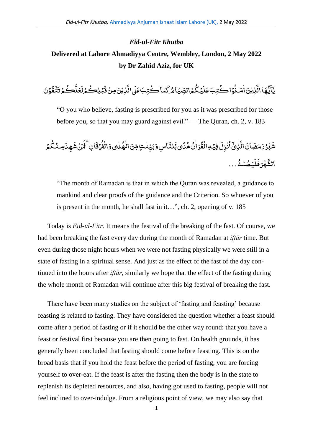## *Eid-ul-Fitr Khutba* **Delivered at Lahore Ahmadiyya Centre, Wembley, London, 2 May 2022 by Dr Zahid Aziz, for UK**

ة<br>تم َ و<br>ڪمۇ ت ک ِ<br>نا ِ<br>عَلَّ َ ءِ<br>ڪثرا بُـلِڪُ .<br>, َ ِ<br>نَٰزِیۡنَصِنۡ قَ ֧<u>֫</u> ِ<br>به ر<br>ا راڈ ،<br>كُتِبَ¢َ ل یماک ે<br>ક ِ<br>مُرالصِّيَامُر<sup>ُ</sup>كَ ُّ ِ<br>پیگ .<br>, **ृ** ِ<br>كُتِبَ عَلَ .<br>ذاڪُ **ٔ و** .<br>نایتین است ٰ ់<br>៖ ِ<br>په ر<br>پماالہ و<br>یا َ .<br>يَأَيُّهَا الَّذِيَّ اٰمَـنُوۡ اِ ڪُتبَ عَلَيۡكُمُ الصِّيَامُرُ كَمَا ڪُتبَ عَلَى الَّذِيۡنَ مِنۡ قَبۡلِڪُمۡ لَعَلَّڪُمۡ تَتَّقُوۡنَ .<br>, ُّ ق

"O you who believe, fasting is prescribed for you as it was prescribed for those before you, so that you may guard against evil." — The Quran, ch. 2, v. 183

َ ِسو ا َ ِلن یل ً د ُّ ہ ُّ ن ٰ ا رۡ ُّ ق ۡ ِہال ۡ ِفی َ ِل ز ۡ ن ُّ ا ۡۤ ِذیۡ َ ال َ ان َ ض َ م َ ر ُّ ر ۡ ہ َ ش َ یو ٰ د ُّ ہ ۡ ال ِنَ ٍتم ٰ ن ِ ی َ ب ۡ ر ُّ ف ۡ ال ُّ م ُّ ک ۡ ِمن َ ِ د ہ َ ش نۡ َ م َ اِنۚف َ ق ُّ ہ ۡ م ُّ ص َ ی ۡ ل َ ف رَ ۡ ہ َ الش ...

"The month of Ramadan is that in which the Quran was revealed, a guidance to mankind and clear proofs of the guidance and the Criterion. So whoever of you is present in the month, he shall fast in it…", ch. 2, opening of v. 185

Today is *Eid-ul-Fitr.* It means the festival of the breaking of the fast. Of course, we had been breaking the fast every day during the month of Ramadan at *iftār* time. But even during those night hours when we were not fasting physically we were still in a state of fasting in a spiritual sense. And just as the effect of the fast of the day continued into the hours after *iftār*, similarly we hope that the effect of the fasting during the whole month of Ramadan will continue after this big festival of breaking the fast.

There have been many studies on the subject of 'fasting and feasting' because feasting is related to fasting. They have considered the question whether a feast should come after a period of fasting or if it should be the other way round: that you have a feast or festival first because you are then going to fast. On health grounds, it has generally been concluded that fasting should come before feasting. This is on the broad basis that if you hold the feast before the period of fasting, you are forcing yourself to over-eat. If the feast is after the fasting then the body is in the state to replenish its depleted resources, and also, having got used to fasting, people will not feel inclined to over-indulge. From a religious point of view, we may also say that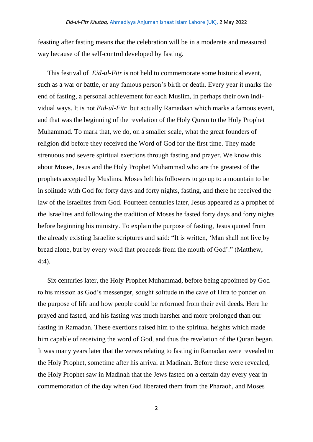feasting after fasting means that the celebration will be in a moderate and measured way because of the self-control developed by fasting.

This festival of *Eid-ul-Fitr* is not held to commemorate some historical event, such as a war or battle, or any famous person's birth or death. Every year it marks the end of fasting, a personal achievement for each Muslim, in perhaps their own individual ways. It is not *Eid-ul-Fitr* but actually Ramadaan which marks a famous event, and that was the beginning of the revelation of the Holy Quran to the Holy Prophet Muhammad. To mark that, we do, on a smaller scale, what the great founders of religion did before they received the Word of God for the first time. They made strenuous and severe spiritual exertions through fasting and prayer. We know this about Moses, Jesus and the Holy Prophet Muhammad who are the greatest of the prophets accepted by Muslims. Moses left his followers to go up to a mountain to be in solitude with God for forty days and forty nights, fasting, and there he received the law of the Israelites from God. Fourteen centuries later, Jesus appeared as a prophet of the Israelites and following the tradition of Moses he fasted forty days and forty nights before beginning his ministry. To explain the purpose of fasting, Jesus quoted from the already existing Israelite scriptures and said: "It is written, 'Man shall not live by bread alone, but by every word that proceeds from the mouth of God'." (Matthew, 4:4).

Six centuries later, the Holy Prophet Muhammad, before being appointed by God to his mission as God's messenger, sought solitude in the cave of Hira to ponder on the purpose of life and how people could be reformed from their evil deeds. Here he prayed and fasted, and his fasting was much harsher and more prolonged than our fasting in Ramadan. These exertions raised him to the spiritual heights which made him capable of receiving the word of God, and thus the revelation of the Quran began. It was many years later that the verses relating to fasting in Ramadan were revealed to the Holy Prophet, sometime after his arrival at Madinah. Before these were revealed, the Holy Prophet saw in Madinah that the Jews fasted on a certain day every year in commemoration of the day when God liberated them from the Pharaoh, and Moses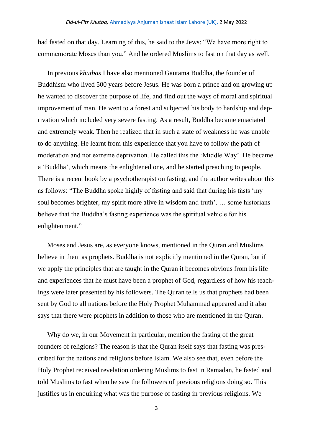had fasted on that day. Learning of this, he said to the Jews: "We have more right to commemorate Moses than you." And he ordered Muslims to fast on that day as well.

In previous *khutbas* I have also mentioned Gautama Buddha, the founder of Buddhism who lived 500 years before Jesus. He was born a prince and on growing up he wanted to discover the purpose of life, and find out the ways of moral and spiritual improvement of man. He went to a forest and subjected his body to hardship and deprivation which included very severe fasting. As a result, Buddha became emaciated and extremely weak. Then he realized that in such a state of weakness he was unable to do anything. He learnt from this experience that you have to follow the path of moderation and not extreme deprivation. He called this the 'Middle Way'. He became a 'Buddha', which means the enlightened one, and he started preaching to people. There is a recent book by a psychotherapist on fasting, and the author writes about this as follows: "The Buddha spoke highly of fasting and said that during his fasts 'my soul becomes brighter, my spirit more alive in wisdom and truth'. … some historians believe that the Buddha's fasting experience was the spiritual vehicle for his enlightenment."

Moses and Jesus are, as everyone knows, mentioned in the Quran and Muslims believe in them as prophets. Buddha is not explicitly mentioned in the Quran, but if we apply the principles that are taught in the Quran it becomes obvious from his life and experiences that he must have been a prophet of God, regardless of how his teachings were later presented by his followers. The Quran tells us that prophets had been sent by God to all nations before the Holy Prophet Muhammad appeared and it also says that there were prophets in addition to those who are mentioned in the Quran.

Why do we, in our Movement in particular, mention the fasting of the great founders of religions? The reason is that the Quran itself says that fasting was prescribed for the nations and religions before Islam. We also see that, even before the Holy Prophet received revelation ordering Muslims to fast in Ramadan, he fasted and told Muslims to fast when he saw the followers of previous religions doing so. This justifies us in enquiring what was the purpose of fasting in previous religions. We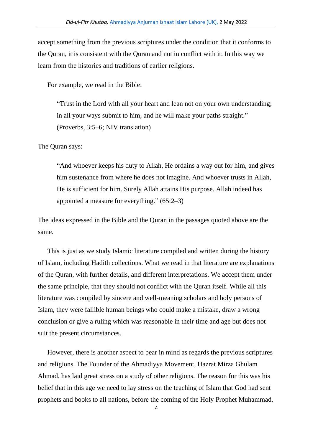accept something from the previous scriptures under the condition that it conforms to the Quran, it is consistent with the Quran and not in conflict with it. In this way we learn from the histories and traditions of earlier religions.

For example, we read in the Bible:

"Trust in the Lord with all your heart and lean not on your own understanding; in all your ways submit to him, and he will make your paths straight." (Proverbs, 3:5–6; NIV translation)

The Quran says:

"And whoever keeps his duty to Allah, He ordains a way out for him, and gives him sustenance from where he does not imagine. And whoever trusts in Allah, He is sufficient for him. Surely Allah attains His purpose. Allah indeed has appointed a measure for everything." (65:2–3)

The ideas expressed in the Bible and the Quran in the passages quoted above are the same.

This is just as we study Islamic literature compiled and written during the history of Islam, including Hadith collections. What we read in that literature are explanations of the Quran, with further details, and different interpretations. We accept them under the same principle, that they should not conflict with the Quran itself. While all this literature was compiled by sincere and well-meaning scholars and holy persons of Islam, they were fallible human beings who could make a mistake, draw a wrong conclusion or give a ruling which was reasonable in their time and age but does not suit the present circumstances.

However, there is another aspect to bear in mind as regards the previous scriptures and religions. The Founder of the Ahmadiyya Movement, Hazrat Mirza Ghulam Ahmad, has laid great stress on a study of other religions. The reason for this was his belief that in this age we need to lay stress on the teaching of Islam that God had sent prophets and books to all nations, before the coming of the Holy Prophet Muhammad,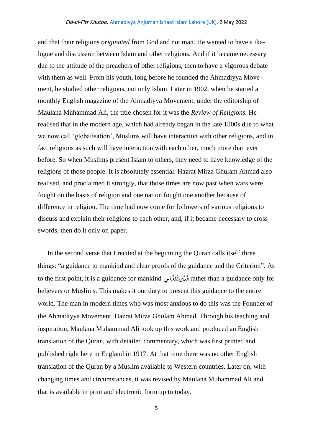and that their religions *originated* from God and not man. He wanted to have a dialogue and discussion between Islam and other religions. And if it became necessary due to the attitude of the preachers of other religions, then to have a vigorous debate with them as well. From his youth, long before he founded the Ahmadiyya Movement, he studied other religions, not only Islam. Later in 1902, when he started a monthly English magazine of the Ahmadiyya Movement, under the editorship of Maulana Muhammad Ali, the title chosen for it was the *Review of Religions.* He realised that in the modern age, which had already began in the late 1800s due to what we now call 'globalisation', Muslims will have interaction with other religions, and in fact religions as such will have interaction with each other, much more than ever before. So when Muslims present Islam to others, they need to have knowledge of the religions of those people. It is absolutely essential. Hazrat Mirza Ghulam Ahmad also realised, and proclaimed it strongly, that those times are now past when wars were fought on the basis of religion and one nation fought one another because of difference in religion. The time had now come for followers of various religions to discuss and explain their religions to each other, and, if it became necessary to cross swords, then do it only on paper.

In the second verse that I recited at the beginning the Quran calls itself three things: "a guidance to mankind and clear proofs of the guidance and the Criterion". As to the first point, it is a guidance for mankind سِ ا ِ<br>لمُذَّ j. یل ً د ُّ ہ rather than a guidance only for believers or Muslims. This makes it our duty to present this guidance to the entire world. The man in modern times who was most anxious to do this was the Founder of the Ahmadiyya Movement, Hazrat Mirza Ghulam Ahmad. Through his teaching and inspiration, Maulana Muhammad Ali took up this work and produced an English translation of the Quran, with detailed commentary, which was first printed and published right here in England in 1917. At that time there was no other English translation of the Quran by a Muslim available to Western countries. Later on, with changing times and circumstances, it was revised by Maulana Muhammad Ali and that is available in print and electronic form up to today.